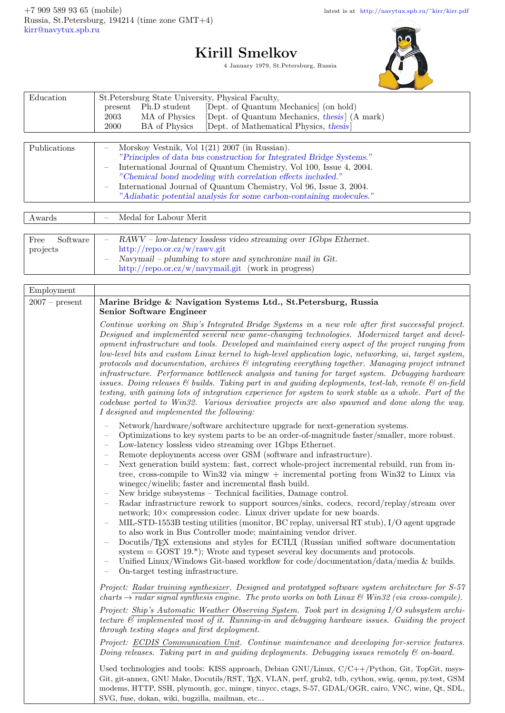## Kirill Smelkov

4 January 1979, St.Petersburg, Russia



| Education                                                           | St. Petersburg State University, Physical Faculty,                          |  |  |  |  |
|---------------------------------------------------------------------|-----------------------------------------------------------------------------|--|--|--|--|
|                                                                     | Ph.D student<br>[Dept. of Quantum Mechanics] (on hold)<br>present           |  |  |  |  |
|                                                                     | [Dept. of Quantum Mechanics, thesis] (A mark)<br>MA of Physics<br>2003      |  |  |  |  |
|                                                                     | [Dept. of Mathematical Physics, thesis]<br><b>BA</b> of Physics<br>2000     |  |  |  |  |
|                                                                     |                                                                             |  |  |  |  |
| Publications                                                        | Morskoy Vestnik, Vol 1(21) 2007 (in Russian).                               |  |  |  |  |
|                                                                     | "Principles of data bus construction for Integrated Bridge Systems."        |  |  |  |  |
| International Journal of Quantum Chemistry, Vol 100, Issue 4, 2004. |                                                                             |  |  |  |  |
|                                                                     | "Chemical bond modeling with correlation effects included."                 |  |  |  |  |
|                                                                     | International Journal of Quantum Chemistry, Vol 96, Issue 3, 2004.          |  |  |  |  |
|                                                                     | "Adiabatic potential analysis for some carbon-containing molecules."        |  |  |  |  |
|                                                                     |                                                                             |  |  |  |  |
| Awards                                                              | Medal for Labour Merit                                                      |  |  |  |  |
|                                                                     |                                                                             |  |  |  |  |
| Software<br>Free                                                    | $RAWV - low-latency$ lossless video streaming over 1Gbps Ethernet.          |  |  |  |  |
| projects                                                            | http://repo.or.cz/w/rawv.git                                                |  |  |  |  |
|                                                                     | Navymail – plumbing to store and synchronize mail in $\operatorname{Git}$ . |  |  |  |  |
|                                                                     | http://repo.or.cz/w/navymail.git (work in progress)                         |  |  |  |  |
|                                                                     |                                                                             |  |  |  |  |

| Employment       |                                                                                                                                                                                                                                                                                                                                                                                                                                                                                                                                                                                                                                                                                                                                                                                                                                                                                                                                                                                                                                                                                                                                                                                                                                                                                                                                               |  |  |  |
|------------------|-----------------------------------------------------------------------------------------------------------------------------------------------------------------------------------------------------------------------------------------------------------------------------------------------------------------------------------------------------------------------------------------------------------------------------------------------------------------------------------------------------------------------------------------------------------------------------------------------------------------------------------------------------------------------------------------------------------------------------------------------------------------------------------------------------------------------------------------------------------------------------------------------------------------------------------------------------------------------------------------------------------------------------------------------------------------------------------------------------------------------------------------------------------------------------------------------------------------------------------------------------------------------------------------------------------------------------------------------|--|--|--|
| $2007 - present$ | Marine Bridge & Navigation Systems Ltd., St.Petersburg, Russia<br><b>Senior Software Engineer</b>                                                                                                                                                                                                                                                                                                                                                                                                                                                                                                                                                                                                                                                                                                                                                                                                                                                                                                                                                                                                                                                                                                                                                                                                                                             |  |  |  |
|                  | Continue working on Ship's Integrated Bridge Systems in a new role after first successful project.<br>Designed and implemented several new game-changing technologies. Modernized target and devel-<br>opment infrastructure and tools. Developed and maintained every aspect of the project ranging from<br>low-level bits and custom Linux kernel to high-level application logic, networking, ui, target system,<br>protocols and documentation, archives $\mathcal{C}$ integrating everything together. Managing project intranet<br>infrastructure. Performance bottleneck analysis and tuning for target system. Debugging hardware<br>issues. Doing releases & builds. Taking part in and guiding deployments, test-lab, remote & on-field<br>testing, with gaining lots of integration experience for system to work stable as a whole. Part of the<br>codebase ported to Win32. Various derivative projects are also spawned and done along the way.<br>I designed and implemented the following:                                                                                                                                                                                                                                                                                                                                    |  |  |  |
|                  | Network/hardware/software architecture upgrade for next-generation systems.<br>Optimizations to key system parts to be an order-of-magnitude faster/smaller, more robust.<br>Low-latency lossless video streaming over 1Gbps Ethernet.<br>Remote deployments access over GSM (software and infrastructure).<br>Next generation build system: fast, correct whole-project incremental rebuild, run from in-<br>tree, cross-compile to Win32 via mingw $+$ incremental porting from Win32 to Linux via<br>winegcc/winelib; faster and incremental flash build.<br>New bridge subsystems – Technical facilities, Damage control.<br>$\hspace{1.0cm} - \hspace{1.0cm}$<br>Radar infrastructure rework to support sources/sinks, codecs, record/replay/stream over<br>network; $10 \times$ compression codec. Linux driver update for new boards.<br>MIL-STD-1553B testing utilities (monitor, BC replay, universal RT stub), I/O agent upgrade<br>to also work in Bus Controller mode; maintaining vendor driver.<br>Docutils/T <sub>F</sub> X extensions and styles for ECILI <sub>I</sub> (Russian unified software documentation<br>system = $GOST$ 19.*); Wrote and typeset several key documents and protocols.<br>Unified Linux/Windows Git-based workflow for code/documentation/data/media & builds.<br>On-target testing infrastructure. |  |  |  |
|                  | Project: Radar training synthesizer. Designed and prototyped software system architecture for S-57<br>charts $\rightarrow$ radar signal synthesis engine. The proto works on both Linux & Win32 (via cross-compile).                                                                                                                                                                                                                                                                                                                                                                                                                                                                                                                                                                                                                                                                                                                                                                                                                                                                                                                                                                                                                                                                                                                          |  |  |  |
|                  | Project: Ship's Automatic Weather Observing System. Took part in designing I/O subsystem archi-<br>tecture $\mathcal{B}$ implemented most of it. Running-in and debugging hardware issues. Guiding the project<br>through testing stages and first deployment.                                                                                                                                                                                                                                                                                                                                                                                                                                                                                                                                                                                                                                                                                                                                                                                                                                                                                                                                                                                                                                                                                |  |  |  |
|                  | Project: ECDIS Communication Unit. Continue maintenance and developing for-service features.<br>Doing releases. Taking part in and quiding deployments. Debugging issues remotely $\mathcal C$ on-board.                                                                                                                                                                                                                                                                                                                                                                                                                                                                                                                                                                                                                                                                                                                                                                                                                                                                                                                                                                                                                                                                                                                                      |  |  |  |
|                  | Used technologies and tools: KISS approach, Debian GNU/Linux, C/C++/Python, Git, TopGit, msys-<br>Git, git-annex, GNU Make, Docutils/RST, TEX, VLAN, perf, grub2, tdb, cython, swig, qemu, py.test, GSM<br>modems, HTTP, SSH, plymouth, gcc, mingw, tinycc, ctags, S-57, GDAL/OGR, cairo, VNC, wine, Qt, SDL,                                                                                                                                                                                                                                                                                                                                                                                                                                                                                                                                                                                                                                                                                                                                                                                                                                                                                                                                                                                                                                 |  |  |  |

SVG, fuse, dokan, wiki, bugzilla, mailman, etc...